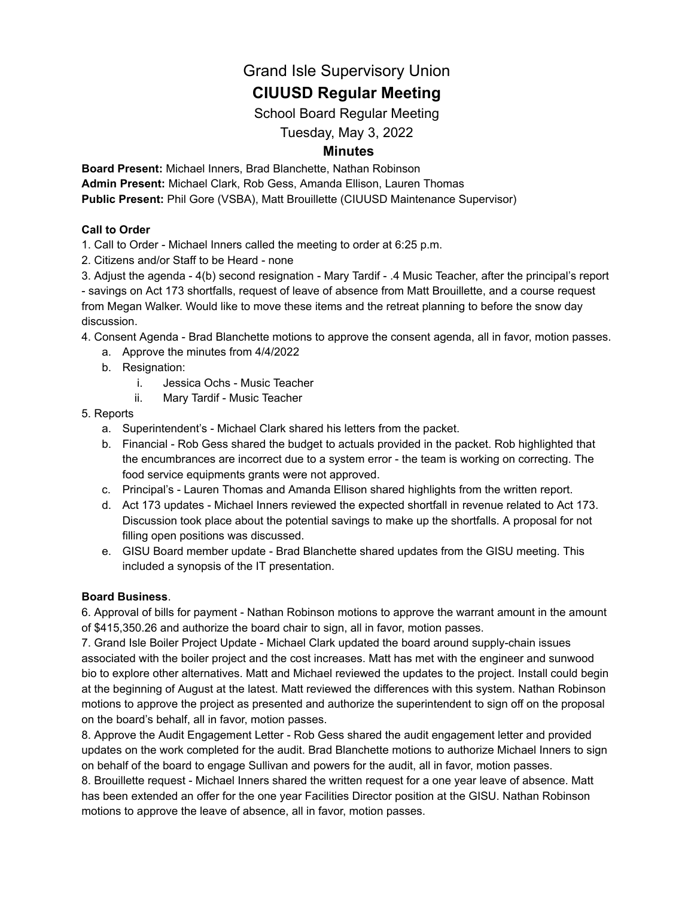## Grand Isle Supervisory Union

# **CIUUSD Regular Meeting**

School Board Regular Meeting

## Tuesday, May 3, 2022

### **Minutes**

**Board Present:** Michael Inners, Brad Blanchette, Nathan Robinson **Admin Present:** Michael Clark, Rob Gess, Amanda Ellison, Lauren Thomas **Public Present:** Phil Gore (VSBA), Matt Brouillette (CIUUSD Maintenance Supervisor)

#### **Call to Order**

1. Call to Order - Michael Inners called the meeting to order at 6:25 p.m.

2. Citizens and/or Staff to be Heard - none

3. Adjust the agenda - 4(b) second resignation - Mary Tardif - .4 Music Teacher, after the principal's report - savings on Act 173 shortfalls, request of leave of absence from Matt Brouillette, and a course request from Megan Walker. Would like to move these items and the retreat planning to before the snow day discussion.

#### 4. Consent Agenda - Brad Blanchette motions to approve the consent agenda, all in favor, motion passes.

- a. Approve the minutes from 4/4/2022
- b. Resignation:
	- i. Jessica Ochs Music Teacher
	- ii. Mary Tardif Music Teacher

#### 5. Reports

- a. Superintendent's Michael Clark shared his letters from the packet.
- b. Financial Rob Gess shared the budget to actuals provided in the packet. Rob highlighted that the encumbrances are incorrect due to a system error - the team is working on correcting. The food service equipments grants were not approved.
- c. Principal's Lauren Thomas and Amanda Ellison shared highlights from the written report.
- d. Act 173 updates Michael Inners reviewed the expected shortfall in revenue related to Act 173. Discussion took place about the potential savings to make up the shortfalls. A proposal for not filling open positions was discussed.
- e. GISU Board member update Brad Blanchette shared updates from the GISU meeting. This included a synopsis of the IT presentation.

#### **Board Business**.

6. Approval of bills for payment - Nathan Robinson motions to approve the warrant amount in the amount of \$415,350.26 and authorize the board chair to sign, all in favor, motion passes.

7. Grand Isle Boiler Project Update - Michael Clark updated the board around supply-chain issues associated with the boiler project and the cost increases. Matt has met with the engineer and sunwood bio to explore other alternatives. Matt and Michael reviewed the updates to the project. Install could begin at the beginning of August at the latest. Matt reviewed the differences with this system. Nathan Robinson motions to approve the project as presented and authorize the superintendent to sign off on the proposal on the board's behalf, all in favor, motion passes.

8. Approve the Audit Engagement Letter - Rob Gess shared the audit engagement letter and provided updates on the work completed for the audit. Brad Blanchette motions to authorize Michael Inners to sign on behalf of the board to engage Sullivan and powers for the audit, all in favor, motion passes.

8. Brouillette request - Michael Inners shared the written request for a one year leave of absence. Matt has been extended an offer for the one year Facilities Director position at the GISU. Nathan Robinson motions to approve the leave of absence, all in favor, motion passes.